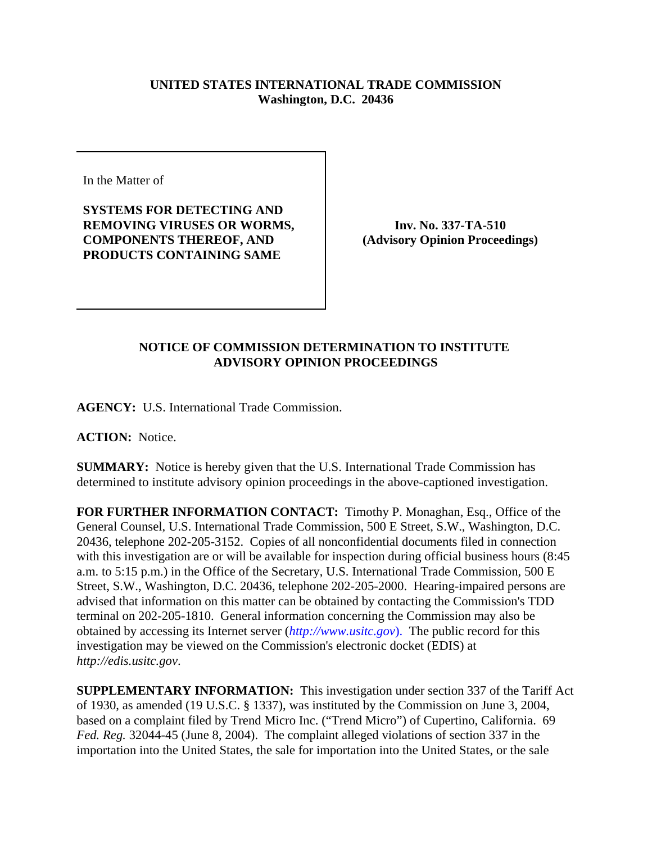## **UNITED STATES INTERNATIONAL TRADE COMMISSION Washington, D.C. 20436**

In the Matter of

**SYSTEMS FOR DETECTING AND REMOVING VIRUSES OR WORMS, COMPONENTS THEREOF, AND PRODUCTS CONTAINING SAME**

**Inv. No. 337-TA-510 (Advisory Opinion Proceedings)**

## **NOTICE OF COMMISSION DETERMINATION TO INSTITUTE ADVISORY OPINION PROCEEDINGS**

**AGENCY:** U.S. International Trade Commission.

**ACTION:** Notice.

**SUMMARY:** Notice is hereby given that the U.S. International Trade Commission has determined to institute advisory opinion proceedings in the above-captioned investigation.

**FOR FURTHER INFORMATION CONTACT:** Timothy P. Monaghan, Esq., Office of the General Counsel, U.S. International Trade Commission, 500 E Street, S.W., Washington, D.C. 20436, telephone 202-205-3152. Copies of all nonconfidential documents filed in connection with this investigation are or will be available for inspection during official business hours (8:45 a.m. to 5:15 p.m.) in the Office of the Secretary, U.S. International Trade Commission, 500 E Street, S.W., Washington, D.C. 20436, telephone 202-205-2000. Hearing-impaired persons are advised that information on this matter can be obtained by contacting the Commission's TDD terminal on 202-205-1810. General information concerning the Commission may also be obtained by accessing its Internet server (*http://www.usitc.gov*). The public record for this investigation may be viewed on the Commission's electronic docket (EDIS) at *http://edis.usitc.gov*.

**SUPPLEMENTARY INFORMATION:** This investigation under section 337 of the Tariff Act of 1930, as amended (19 U.S.C. § 1337), was instituted by the Commission on June 3, 2004, based on a complaint filed by Trend Micro Inc. ("Trend Micro") of Cupertino, California. 69 *Fed. Reg.* 32044-45 (June 8, 2004). The complaint alleged violations of section 337 in the importation into the United States, the sale for importation into the United States, or the sale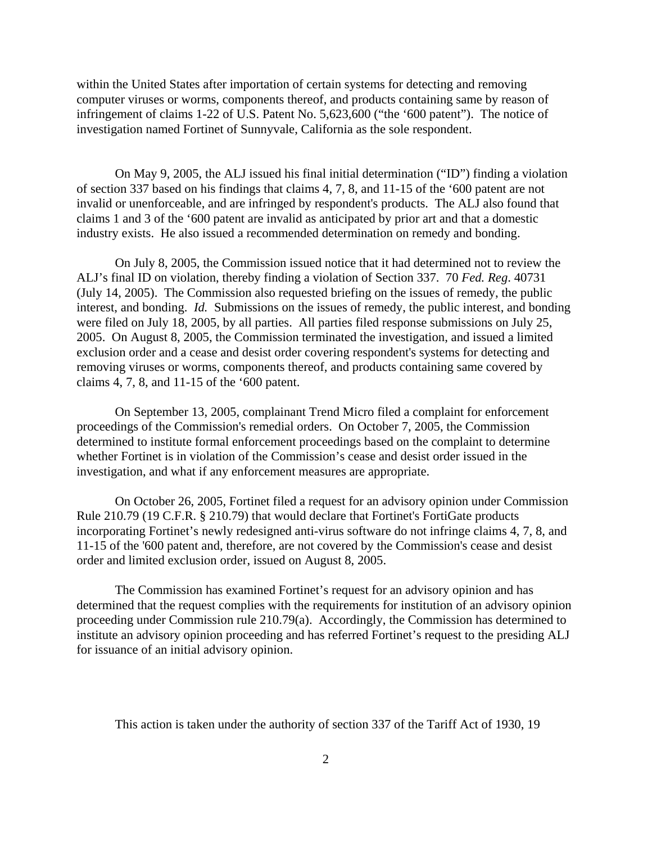within the United States after importation of certain systems for detecting and removing computer viruses or worms, components thereof, and products containing same by reason of infringement of claims 1-22 of U.S. Patent No. 5,623,600 ("the '600 patent"). The notice of investigation named Fortinet of Sunnyvale, California as the sole respondent.

On May 9, 2005, the ALJ issued his final initial determination ("ID") finding a violation of section 337 based on his findings that claims 4, 7, 8, and 11-15 of the '600 patent are not invalid or unenforceable, and are infringed by respondent's products. The ALJ also found that claims 1 and 3 of the '600 patent are invalid as anticipated by prior art and that a domestic industry exists. He also issued a recommended determination on remedy and bonding.

On July 8, 2005, the Commission issued notice that it had determined not to review the ALJ's final ID on violation, thereby finding a violation of Section 337. 70 *Fed. Reg*. 40731 (July 14, 2005). The Commission also requested briefing on the issues of remedy, the public interest, and bonding. *Id.* Submissions on the issues of remedy, the public interest, and bonding were filed on July 18, 2005, by all parties. All parties filed response submissions on July 25, 2005. On August 8, 2005, the Commission terminated the investigation, and issued a limited exclusion order and a cease and desist order covering respondent's systems for detecting and removing viruses or worms, components thereof, and products containing same covered by claims 4, 7, 8, and 11-15 of the '600 patent.

On September 13, 2005, complainant Trend Micro filed a complaint for enforcement proceedings of the Commission's remedial orders. On October 7, 2005, the Commission determined to institute formal enforcement proceedings based on the complaint to determine whether Fortinet is in violation of the Commission's cease and desist order issued in the investigation, and what if any enforcement measures are appropriate.

On October 26, 2005, Fortinet filed a request for an advisory opinion under Commission Rule 210.79 (19 C.F.R. § 210.79) that would declare that Fortinet's FortiGate products incorporating Fortinet's newly redesigned anti-virus software do not infringe claims 4, 7, 8, and 11-15 of the '600 patent and, therefore, are not covered by the Commission's cease and desist order and limited exclusion order, issued on August 8, 2005.

The Commission has examined Fortinet's request for an advisory opinion and has determined that the request complies with the requirements for institution of an advisory opinion proceeding under Commission rule 210.79(a). Accordingly, the Commission has determined to institute an advisory opinion proceeding and has referred Fortinet's request to the presiding ALJ for issuance of an initial advisory opinion.

This action is taken under the authority of section 337 of the Tariff Act of 1930, 19